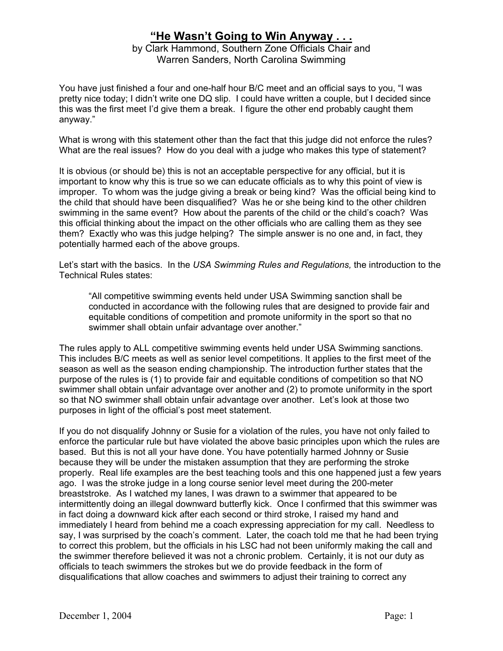## **"He Wasn't Going to Win Anyway . . .**

by Clark Hammond, Southern Zone Officials Chair and Warren Sanders, North Carolina Swimming

You have just finished a four and one-half hour B/C meet and an official says to you, "I was pretty nice today; I didn't write one DQ slip. I could have written a couple, but I decided since this was the first meet I'd give them a break. I figure the other end probably caught them anyway."

What is wrong with this statement other than the fact that this judge did not enforce the rules? What are the real issues? How do you deal with a judge who makes this type of statement?

It is obvious (or should be) this is not an acceptable perspective for any official, but it is important to know why this is true so we can educate officials as to why this point of view is improper. To whom was the judge giving a break or being kind? Was the official being kind to the child that should have been disqualified? Was he or she being kind to the other children swimming in the same event? How about the parents of the child or the child's coach? Was this official thinking about the impact on the other officials who are calling them as they see them? Exactly who was this judge helping? The simple answer is no one and, in fact, they potentially harmed each of the above groups.

Let's start with the basics. In the *USA Swimming Rules and Regulations,* the introduction to the Technical Rules states:

"All competitive swimming events held under USA Swimming sanction shall be conducted in accordance with the following rules that are designed to provide fair and equitable conditions of competition and promote uniformity in the sport so that no swimmer shall obtain unfair advantage over another."

The rules apply to ALL competitive swimming events held under USA Swimming sanctions. This includes B/C meets as well as senior level competitions. It applies to the first meet of the season as well as the season ending championship. The introduction further states that the purpose of the rules is (1) to provide fair and equitable conditions of competition so that NO swimmer shall obtain unfair advantage over another and (2) to promote uniformity in the sport so that NO swimmer shall obtain unfair advantage over another. Let's look at those two purposes in light of the official's post meet statement.

If you do not disqualify Johnny or Susie for a violation of the rules, you have not only failed to enforce the particular rule but have violated the above basic principles upon which the rules are based. But this is not all your have done. You have potentially harmed Johnny or Susie because they will be under the mistaken assumption that they are performing the stroke properly. Real life examples are the best teaching tools and this one happened just a few years ago. I was the stroke judge in a long course senior level meet during the 200-meter breaststroke. As I watched my lanes, I was drawn to a swimmer that appeared to be intermittently doing an illegal downward butterfly kick. Once I confirmed that this swimmer was in fact doing a downward kick after each second or third stroke, I raised my hand and immediately I heard from behind me a coach expressing appreciation for my call. Needless to say, I was surprised by the coach's comment. Later, the coach told me that he had been trying to correct this problem, but the officials in his LSC had not been uniformly making the call and the swimmer therefore believed it was not a chronic problem. Certainly, it is not our duty as officials to teach swimmers the strokes but we do provide feedback in the form of disqualifications that allow coaches and swimmers to adjust their training to correct any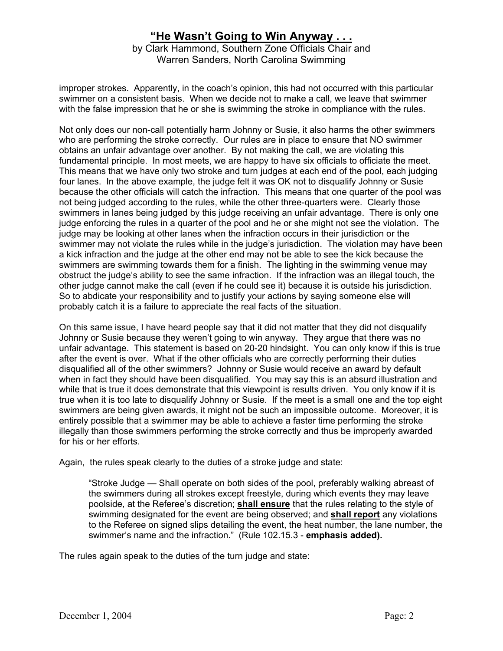## **"He Wasn't Going to Win Anyway . . .**

by Clark Hammond, Southern Zone Officials Chair and Warren Sanders, North Carolina Swimming

improper strokes. Apparently, in the coach's opinion, this had not occurred with this particular swimmer on a consistent basis. When we decide not to make a call, we leave that swimmer with the false impression that he or she is swimming the stroke in compliance with the rules.

Not only does our non-call potentially harm Johnny or Susie, it also harms the other swimmers who are performing the stroke correctly. Our rules are in place to ensure that NO swimmer obtains an unfair advantage over another. By not making the call, we are violating this fundamental principle. In most meets, we are happy to have six officials to officiate the meet. This means that we have only two stroke and turn judges at each end of the pool, each judging four lanes. In the above example, the judge felt it was OK not to disqualify Johnny or Susie because the other officials will catch the infraction. This means that one quarter of the pool was not being judged according to the rules, while the other three-quarters were. Clearly those swimmers in lanes being judged by this judge receiving an unfair advantage. There is only one judge enforcing the rules in a quarter of the pool and he or she might not see the violation. The judge may be looking at other lanes when the infraction occurs in their jurisdiction or the swimmer may not violate the rules while in the judge's jurisdiction. The violation may have been a kick infraction and the judge at the other end may not be able to see the kick because the swimmers are swimming towards them for a finish. The lighting in the swimming venue may obstruct the judge's ability to see the same infraction. If the infraction was an illegal touch, the other judge cannot make the call (even if he could see it) because it is outside his jurisdiction. So to abdicate your responsibility and to justify your actions by saying someone else will probably catch it is a failure to appreciate the real facts of the situation.

On this same issue, I have heard people say that it did not matter that they did not disqualify Johnny or Susie because they weren't going to win anyway. They argue that there was no unfair advantage. This statement is based on 20-20 hindsight. You can only know if this is true after the event is over. What if the other officials who are correctly performing their duties disqualified all of the other swimmers? Johnny or Susie would receive an award by default when in fact they should have been disqualified. You may say this is an absurd illustration and while that is true it does demonstrate that this viewpoint is results driven. You only know if it is true when it is too late to disqualify Johnny or Susie. If the meet is a small one and the top eight swimmers are being given awards, it might not be such an impossible outcome. Moreover, it is entirely possible that a swimmer may be able to achieve a faster time performing the stroke illegally than those swimmers performing the stroke correctly and thus be improperly awarded for his or her efforts.

Again, the rules speak clearly to the duties of a stroke judge and state:

"Stroke Judge — Shall operate on both sides of the pool, preferably walking abreast of the swimmers during all strokes except freestyle, during which events they may leave poolside, at the Referee's discretion; **shall ensure** that the rules relating to the style of swimming designated for the event are being observed; and **shall report** any violations to the Referee on signed slips detailing the event, the heat number, the lane number, the swimmer's name and the infraction." (Rule 102.15.3 - **emphasis added).**

The rules again speak to the duties of the turn judge and state: